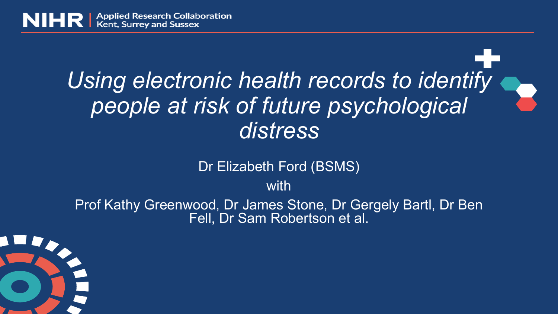

## *Using electronic health records to identify people at risk of future psychological distress*

Dr Elizabeth Ford (BSMS)

with

Prof Kathy Greenwood, Dr James Stone, Dr Gergely Bartl, Dr Ben Fell, Dr Sam Robertson et al.

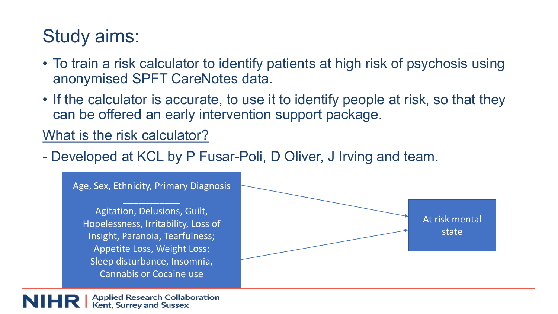### Study aims:

- To train a risk calculator to identify patients at high risk of psychosis using anonymised SPFT CareNotes data.
- If the calculator is accurate, to use it to identify people at risk, so that they can be offered an early intervention support package.

#### What is the risk calculator?

- Developed at KCL by P Fusar-Poli, D Oliver, J Irving and team.



**Applied Research Collaboration Kent, Surrey and Sussex**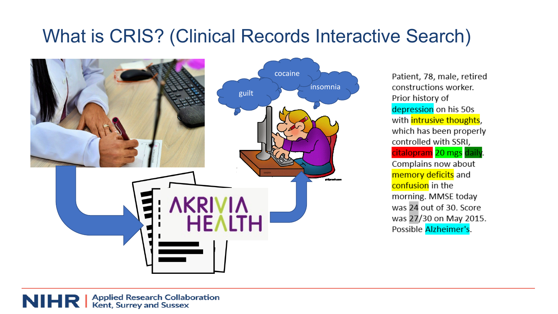### What is CRIS? (Clinical Records Interactive Search)



Patient, 78, male, retired constructions worker. Prior history of depression on his 50s with intrusive thoughts, which has been properly controlled with SSRI. citalopram 20 mgs daily Complains now about memory deficits and confusion in the morning. MMSE today was 24 out of 30. Score was 27/30 on May 2015. Possible Alzheimer's.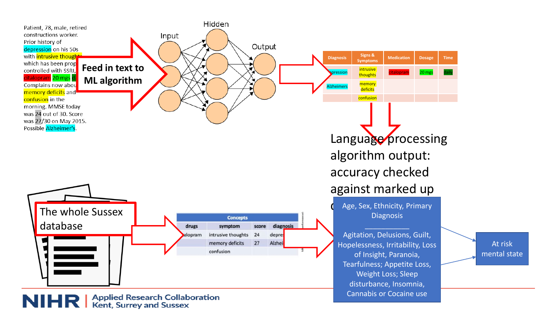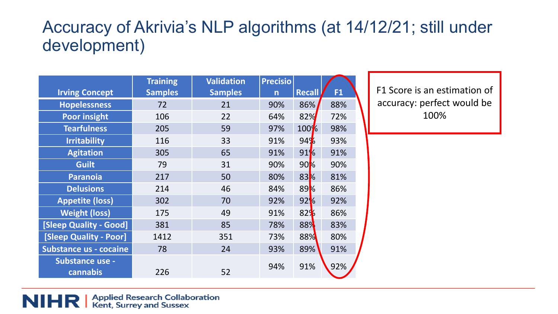#### Accuracy of Akrivia's NLP algorithms (at 14/12/21; still under development)

|                               | <b>Training</b> | <b>Validation</b> | <b>Precisio</b>         |                 |     |
|-------------------------------|-----------------|-------------------|-------------------------|-----------------|-----|
| <b>Irving Concept</b>         | <b>Samples</b>  | <b>Samples</b>    | $\overline{\mathsf{n}}$ | <b>Recall</b>   | F1  |
| <b>Hopelessness</b>           | 72              | 21                | 90%                     | 86%             | 88% |
| <b>Poor insight</b>           | 106             | 22                | 64%                     | 82%             | 72% |
| <b>Tearfulness</b>            | 205             | 59                | 97%                     | 100%            | 98% |
| <b>Irritability</b>           | 116             | 33                | 91%                     | 94%             | 93% |
| <b>Agitation</b>              | 305             | 65                | 91%                     | 91%             | 91% |
| <b>Guilt</b>                  | 79              | 31                | 90%                     | 90 <sub>k</sub> | 90% |
| <b>Paranoia</b>               | 217             | 50                | 80%                     | 83%             | 81% |
| <b>Delusions</b>              | 214             | 46                | 84%                     | 89%             | 86% |
| <b>Appetite (loss)</b>        | 302             | 70                | 92%                     | 92%             | 92% |
| <b>Weight (loss)</b>          | 175             | 49                | 91%                     | 82%             | 86% |
| <b>[Sleep Quality - Good]</b> | 381             | 85                | 78%                     | 88%             | 83% |
| <b>[Sleep Quality - Poor]</b> | 1412            | 351               | 73%                     | 88%             | 80% |
| <b>Substance us - cocaine</b> | 78              | 24                | 93%                     | 89%             | 91% |
| Substance use -<br>cannabis   | 226             | 52                | 94%                     | 91%             | 92% |

F1 Score is an estimation of accuracy: perfect would be 100%

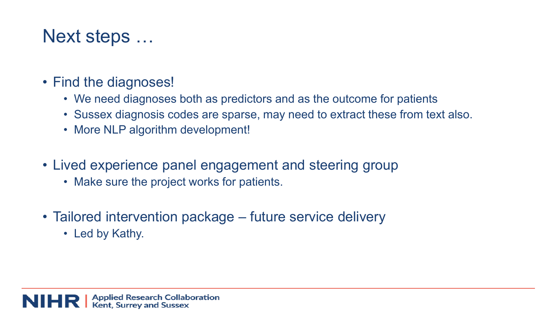#### Next steps …

- Find the diagnoses!
	- We need diagnoses both as predictors and as the outcome for patients
	- Sussex diagnosis codes are sparse, may need to extract these from text also.
	- More NLP algorithm development!
- Lived experience panel engagement and steering group
	- Make sure the project works for patients.
- Tailored intervention package future service delivery
	- Led by Kathy.